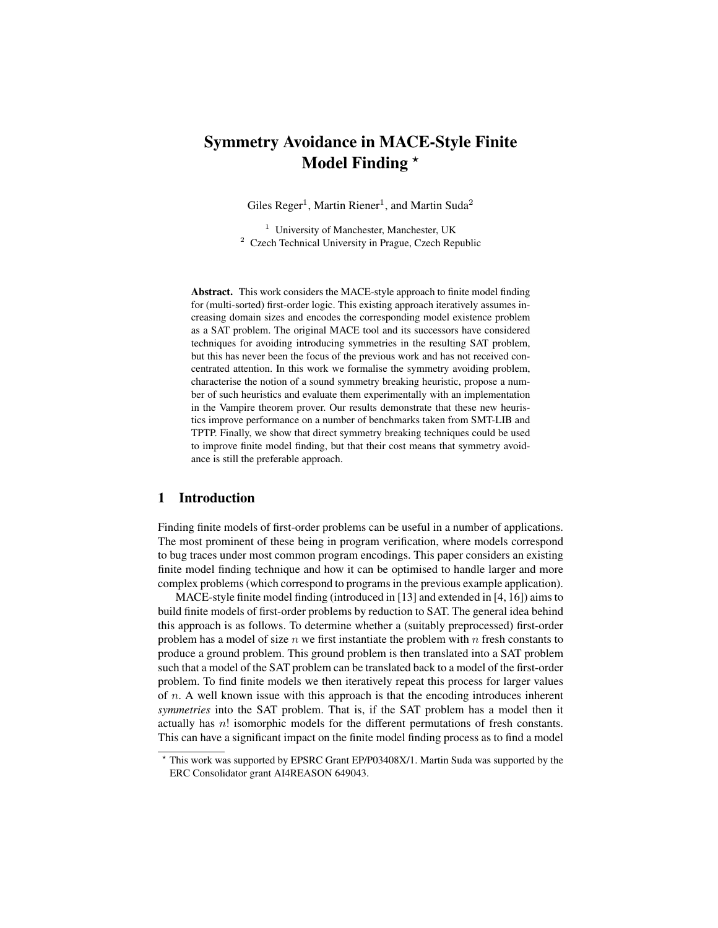# Symmetry Avoidance in MACE-Style Finite Model Finding \*

Giles Reger<sup>1</sup>, Martin Riener<sup>1</sup>, and Martin Suda<sup>2</sup>

 $1$  University of Manchester, Manchester, UK <sup>2</sup> Czech Technical University in Prague, Czech Republic

Abstract. This work considers the MACE-style approach to finite model finding for (multi-sorted) first-order logic. This existing approach iteratively assumes increasing domain sizes and encodes the corresponding model existence problem as a SAT problem. The original MACE tool and its successors have considered techniques for avoiding introducing symmetries in the resulting SAT problem, but this has never been the focus of the previous work and has not received concentrated attention. In this work we formalise the symmetry avoiding problem, characterise the notion of a sound symmetry breaking heuristic, propose a number of such heuristics and evaluate them experimentally with an implementation in the Vampire theorem prover. Our results demonstrate that these new heuristics improve performance on a number of benchmarks taken from SMT-LIB and TPTP. Finally, we show that direct symmetry breaking techniques could be used to improve finite model finding, but that their cost means that symmetry avoidance is still the preferable approach.

#### 1 Introduction

Finding finite models of first-order problems can be useful in a number of applications. The most prominent of these being in program verification, where models correspond to bug traces under most common program encodings. This paper considers an existing finite model finding technique and how it can be optimised to handle larger and more complex problems (which correspond to programs in the previous example application).

MACE-style finite model finding (introduced in [13] and extended in [4, 16]) aims to build finite models of first-order problems by reduction to SAT. The general idea behind this approach is as follows. To determine whether a (suitably preprocessed) first-order problem has a model of size n we first instantiate the problem with n fresh constants to produce a ground problem. This ground problem is then translated into a SAT problem such that a model of the SAT problem can be translated back to a model of the first-order problem. To find finite models we then iteratively repeat this process for larger values of  $n$ . A well known issue with this approach is that the encoding introduces inherent *symmetries* into the SAT problem. That is, if the SAT problem has a model then it actually has n! isomorphic models for the different permutations of fresh constants. This can have a significant impact on the finite model finding process as to find a model

<sup>?</sup> This work was supported by EPSRC Grant EP/P03408X/1. Martin Suda was supported by the ERC Consolidator grant AI4REASON 649043.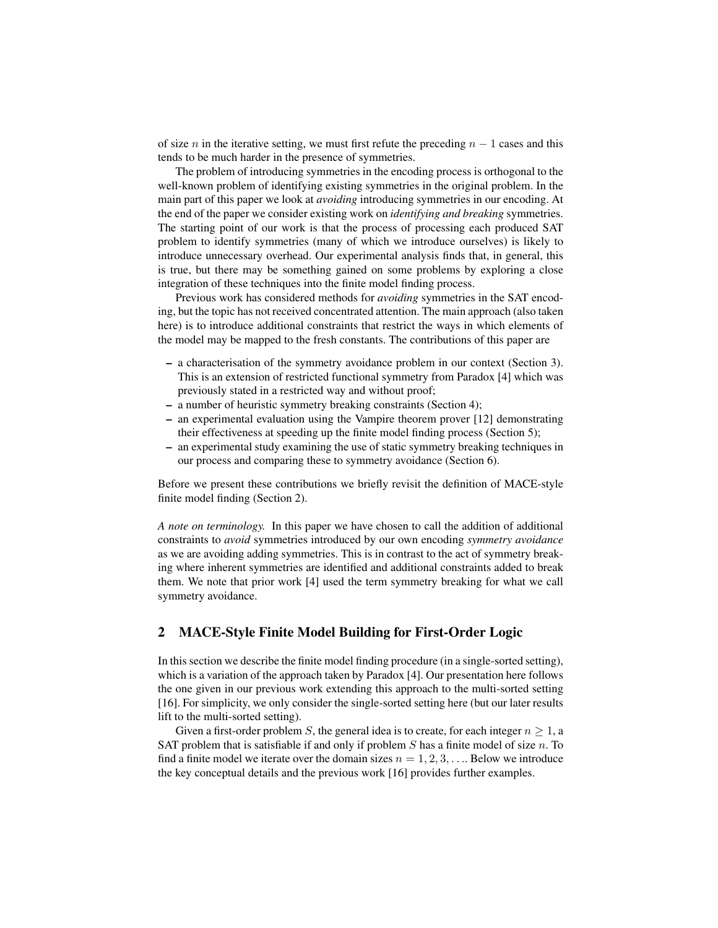of size n in the iterative setting, we must first refute the preceding  $n - 1$  cases and this tends to be much harder in the presence of symmetries.

The problem of introducing symmetries in the encoding process is orthogonal to the well-known problem of identifying existing symmetries in the original problem. In the main part of this paper we look at *avoiding* introducing symmetries in our encoding. At the end of the paper we consider existing work on *identifying and breaking* symmetries. The starting point of our work is that the process of processing each produced SAT problem to identify symmetries (many of which we introduce ourselves) is likely to introduce unnecessary overhead. Our experimental analysis finds that, in general, this is true, but there may be something gained on some problems by exploring a close integration of these techniques into the finite model finding process.

Previous work has considered methods for *avoiding* symmetries in the SAT encoding, but the topic has not received concentrated attention. The main approach (also taken here) is to introduce additional constraints that restrict the ways in which elements of the model may be mapped to the fresh constants. The contributions of this paper are

- a characterisation of the symmetry avoidance problem in our context (Section 3). This is an extension of restricted functional symmetry from Paradox [4] which was previously stated in a restricted way and without proof;
- a number of heuristic symmetry breaking constraints (Section 4);
- an experimental evaluation using the Vampire theorem prover [12] demonstrating their effectiveness at speeding up the finite model finding process (Section 5);
- an experimental study examining the use of static symmetry breaking techniques in our process and comparing these to symmetry avoidance (Section 6).

Before we present these contributions we briefly revisit the definition of MACE-style finite model finding (Section 2).

*A note on terminology.* In this paper we have chosen to call the addition of additional constraints to *avoid* symmetries introduced by our own encoding *symmetry avoidance* as we are avoiding adding symmetries. This is in contrast to the act of symmetry breaking where inherent symmetries are identified and additional constraints added to break them. We note that prior work [4] used the term symmetry breaking for what we call symmetry avoidance.

# 2 MACE-Style Finite Model Building for First-Order Logic

In this section we describe the finite model finding procedure (in a single-sorted setting), which is a variation of the approach taken by Paradox [4]. Our presentation here follows the one given in our previous work extending this approach to the multi-sorted setting [16]. For simplicity, we only consider the single-sorted setting here (but our later results lift to the multi-sorted setting).

Given a first-order problem S, the general idea is to create, for each integer  $n \geq 1$ , a SAT problem that is satisfiable if and only if problem  $S$  has a finite model of size  $n$ . To find a finite model we iterate over the domain sizes  $n = 1, 2, 3, \dots$  Below we introduce the key conceptual details and the previous work [16] provides further examples.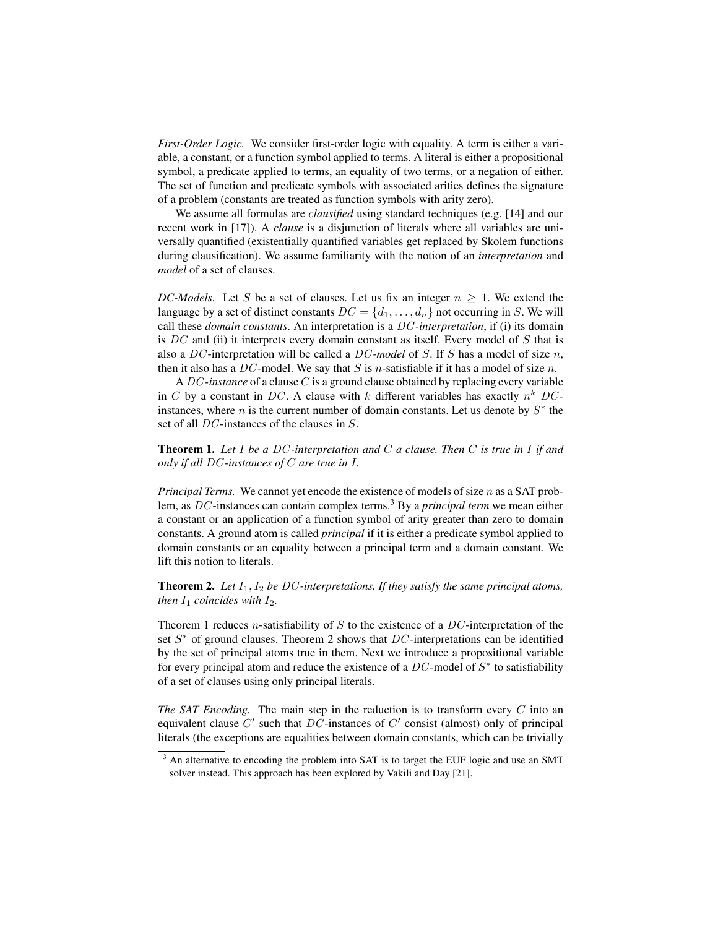*First-Order Logic.* We consider first-order logic with equality. A term is either a variable, a constant, or a function symbol applied to terms. A literal is either a propositional symbol, a predicate applied to terms, an equality of two terms, or a negation of either. The set of function and predicate symbols with associated arities defines the signature of a problem (constants are treated as function symbols with arity zero).

We assume all formulas are *clausified* using standard techniques (e.g. [14] and our recent work in [17]). A *clause* is a disjunction of literals where all variables are universally quantified (existentially quantified variables get replaced by Skolem functions during clausification). We assume familiarity with the notion of an *interpretation* and *model* of a set of clauses.

*DC-Models.* Let S be a set of clauses. Let us fix an integer  $n \geq 1$ . We extend the language by a set of distinct constants  $DC = \{d_1, \ldots, d_n\}$  not occurring in S. We will call these *domain constants*. An interpretation is a DC *-interpretation*, if (i) its domain is  $DC$  and (ii) it interprets every domain constant as itself. Every model of S that is also a DC -interpretation will be called a DC *-model* of S. If S has a model of size n, then it also has a DC-model. We say that S is n-satisfiable if it has a model of size n.

A DC *-instance* of a clause C is a ground clause obtained by replacing every variable in C by a constant in DC. A clause with k different variables has exactly  $n^k$  DCinstances, where  $n$  is the current number of domain constants. Let us denote by  $S^*$  the set of all DC -instances of the clauses in S.

Theorem 1. *Let* I *be a* DC *-interpretation and* C *a clause. Then* C *is true in* I *if and only if all* DC *-instances of* C *are true in* I*.*

*Principal Terms.* We cannot yet encode the existence of models of size n as a SAT problem, as DC -instances can contain complex terms.<sup>3</sup> By a *principal term* we mean either a constant or an application of a function symbol of arity greater than zero to domain constants. A ground atom is called *principal* if it is either a predicate symbol applied to domain constants or an equality between a principal term and a domain constant. We lift this notion to literals.

**Theorem 2.** Let  $I_1, I_2$  be DC-interpretations. If they satisfy the same principal atoms, *then*  $I_1$  *coincides with*  $I_2$ *.* 

Theorem 1 reduces n-satisfiability of  $S$  to the existence of a  $DC$ -interpretation of the set  $S^*$  of ground clauses. Theorem 2 shows that  $DC$ -interpretations can be identified by the set of principal atoms true in them. Next we introduce a propositional variable for every principal atom and reduce the existence of a  $DC$ -model of  $S^*$  to satisfiability of a set of clauses using only principal literals.

*The SAT Encoding.* The main step in the reduction is to transform every C into an equivalent clause  $C'$  such that  $DC$ -instances of  $C'$  consist (almost) only of principal literals (the exceptions are equalities between domain constants, which can be trivially

<sup>&</sup>lt;sup>3</sup> An alternative to encoding the problem into SAT is to target the EUF logic and use an SMT solver instead. This approach has been explored by Vakili and Day [21].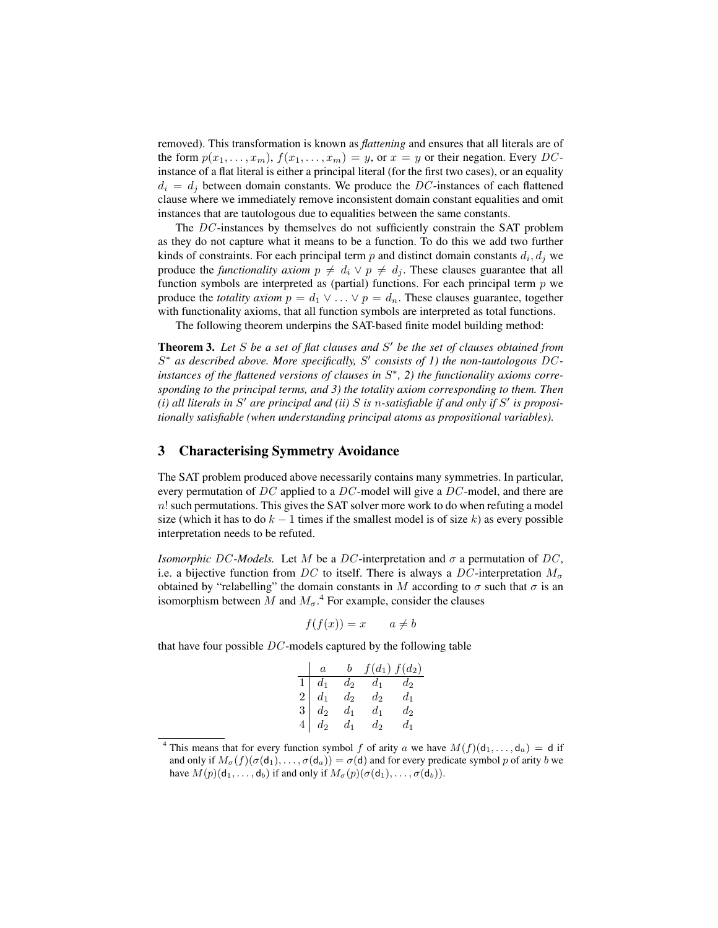removed). This transformation is known as *flattening* and ensures that all literals are of the form  $p(x_1, \ldots, x_m)$ ,  $f(x_1, \ldots, x_m) = y$ , or  $x = y$  or their negation. Every DCinstance of a flat literal is either a principal literal (for the first two cases), or an equality  $d_i = d_j$  between domain constants. We produce the DC-instances of each flattened clause where we immediately remove inconsistent domain constant equalities and omit instances that are tautologous due to equalities between the same constants.

The DC -instances by themselves do not sufficiently constrain the SAT problem as they do not capture what it means to be a function. To do this we add two further kinds of constraints. For each principal term  $p$  and distinct domain constants  $d_i, d_j$  we produce the *functionality axiom*  $p \neq d_i \vee p \neq d_j$ . These clauses guarantee that all function symbols are interpreted as (partial) functions. For each principal term  $p$  we produce the *totality axiom*  $p = d_1 \vee \ldots \vee p = d_n$ . These clauses guarantee, together with functionality axioms, that all function symbols are interpreted as total functions.

The following theorem underpins the SAT-based finite model building method:

Theorem 3. *Let* S *be a set of flat clauses and* S <sup>0</sup> *be the set of clauses obtained from* S<sup>\*</sup> as described above. More specifically, S' consists of 1) the non-tautologous DC*instances of the flattened versions of clauses in*  $S^*$ , 2) the functionality axioms corre*sponding to the principal terms, and 3) the totality axiom corresponding to them. Then* (*i*) all literals in S' are principal and (*ii*) S is n-satisfiable if and only if S' is proposi*tionally satisfiable (when understanding principal atoms as propositional variables).*

## 3 Characterising Symmetry Avoidance

The SAT problem produced above necessarily contains many symmetries. In particular, every permutation of DC applied to a DC-model will give a DC-model, and there are  $n!$  such permutations. This gives the SAT solver more work to do when refuting a model size (which it has to do  $k - 1$  times if the smallest model is of size k) as every possible interpretation needs to be refuted.

*Isomorphic DC-Models.* Let M be a DC-interpretation and  $\sigma$  a permutation of DC, i.e. a bijective function from DC to itself. There is always a DC-interpretation  $M_{\sigma}$ obtained by "relabelling" the domain constants in M according to  $\sigma$  such that  $\sigma$  is an isomorphism between M and  $M_{\sigma}$ .<sup>4</sup> For example, consider the clauses

$$
f(f(x)) = x \qquad a \neq b
$$

that have four possible  $DC$ -models captured by the following table

| $\boldsymbol{a}$ |       | $f(d_1) f(d_2)$   |       |
|------------------|-------|-------------------|-------|
| $1 \mid d_1$     |       | $d_2$ $d_1$ $d_2$ |       |
| $2 \mid d_1$     | $d_2$ | $d_2$             | $d_1$ |
| $3 \mid d_2$     | $d_1$ | $d_1$             | $d_2$ |
| $4 \mid d_2$     | $d_1$ | $d_2$             | $d_1$ |

<sup>&</sup>lt;sup>4</sup> This means that for every function symbol f of arity a we have  $M(f)(d_1, \ldots, d_a) = d$  if and only if  $M_{\sigma}(f)(\sigma(d_1), \ldots, \sigma(d_a)) = \sigma(d)$  and for every predicate symbol p of arity b we have  $M(p)(d_1, \ldots, d_b)$  if and only if  $M_{\sigma}(p)(\sigma(d_1), \ldots, \sigma(d_b)).$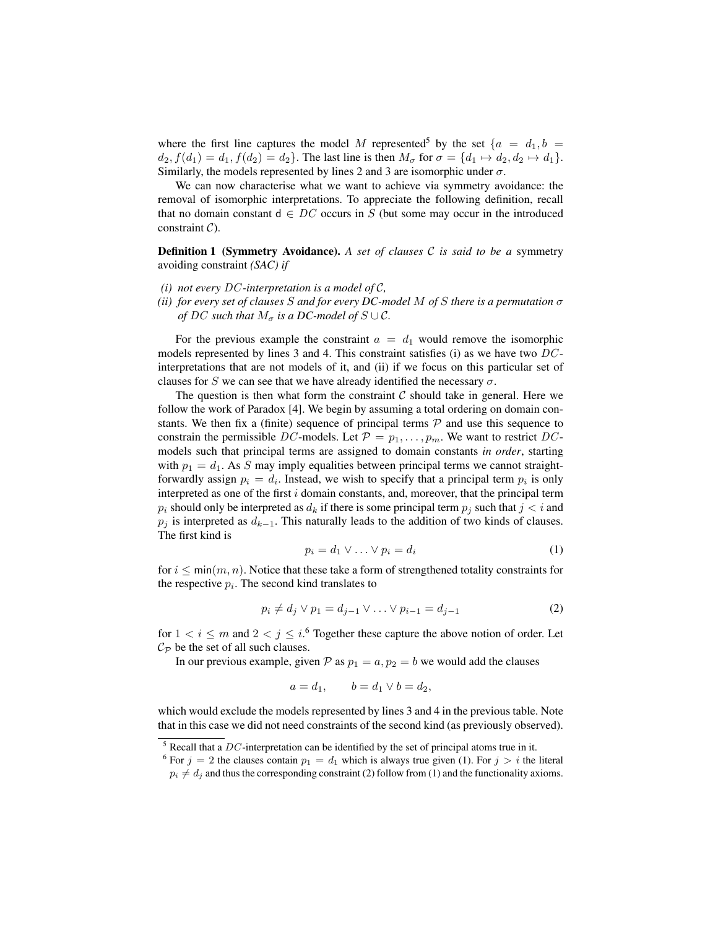where the first line captures the model M represented<sup>5</sup> by the set  $\{a = d_1, b =$  $d_2, f(d_1) = d_1, f(d_2) = d_2$ . The last line is then  $M_{\sigma}$  for  $\sigma = \{d_1 \mapsto d_2, d_2 \mapsto d_1\}.$ Similarly, the models represented by lines 2 and 3 are isomorphic under  $\sigma$ .

We can now characterise what we want to achieve via symmetry avoidance: the removal of isomorphic interpretations. To appreciate the following definition, recall that no domain constant  $d \in DC$  occurs in S (but some may occur in the introduced constraint C).

Definition 1 (Symmetry Avoidance). *A set of clauses* C *is said to be a* symmetry avoiding constraint *(SAC) if*

- *(i) not every*  $DC$ -interpretation is a model of  $C$ ,
- *(ii) for every set of clauses* S *and for every DC-model* M *of* S *there is a permutation* σ *of* DC such that  $M_{\sigma}$  is a DC-model of  $S \cup C$ .

For the previous example the constraint  $a = d_1$  would remove the isomorphic models represented by lines 3 and 4. This constraint satisfies (i) as we have two  $DC$ interpretations that are not models of it, and (ii) if we focus on this particular set of clauses for S we can see that we have already identified the necessary  $\sigma$ .

The question is then what form the constraint  $\mathcal C$  should take in general. Here we follow the work of Paradox [4]. We begin by assuming a total ordering on domain constants. We then fix a (finite) sequence of principal terms  $P$  and use this sequence to constrain the permissible DC-models. Let  $P = p_1, \ldots, p_m$ . We want to restrict DCmodels such that principal terms are assigned to domain constants *in order*, starting with  $p_1 = d_1$ . As S may imply equalities between principal terms we cannot straightforwardly assign  $p_i = d_i$ . Instead, we wish to specify that a principal term  $p_i$  is only interpreted as one of the first  $i$  domain constants, and, moreover, that the principal term  $p_i$  should only be interpreted as  $d_k$  if there is some principal term  $p_j$  such that  $j < i$  and  $p_j$  is interpreted as  $d_{k-1}$ . This naturally leads to the addition of two kinds of clauses. The first kind is

$$
p_i = d_1 \vee \ldots \vee p_i = d_i \tag{1}
$$

for  $i \leq \min(m, n)$ . Notice that these take a form of strengthened totality constraints for the respective  $p_i$ . The second kind translates to

$$
p_i \neq d_j \lor p_1 = d_{j-1} \lor \dots \lor p_{i-1} = d_{j-1} \tag{2}
$$

for  $1 < i \leq m$  and  $2 < j \leq i$ .<sup>6</sup> Together these capture the above notion of order. Let  $C_{\mathcal{P}}$  be the set of all such clauses.

In our previous example, given P as  $p_1 = a$ ,  $p_2 = b$  we would add the clauses

$$
a = d_1, \qquad b = d_1 \vee b = d_2,
$$

which would exclude the models represented by lines 3 and 4 in the previous table. Note that in this case we did not need constraints of the second kind (as previously observed).

 $\frac{5}{10}$  Recall that a DC-interpretation can be identified by the set of principal atoms true in it.

<sup>&</sup>lt;sup>6</sup> For  $j = 2$  the clauses contain  $p_1 = d_1$  which is always true given (1). For  $j > i$  the literal  $p_i \neq d_j$  and thus the corresponding constraint (2) follow from (1) and the functionality axioms.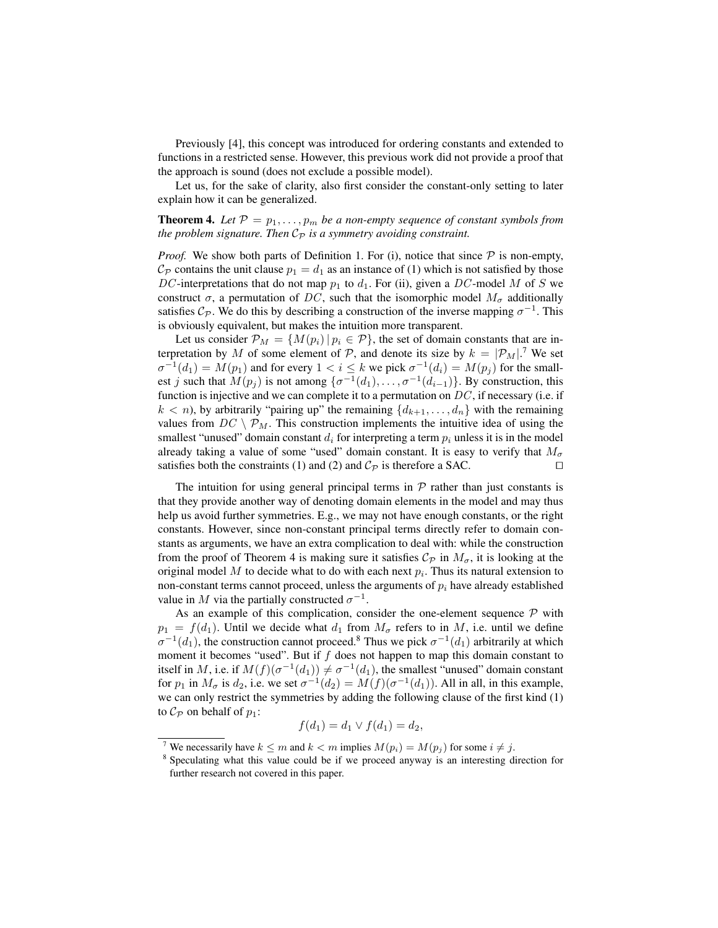Previously [4], this concept was introduced for ordering constants and extended to functions in a restricted sense. However, this previous work did not provide a proof that the approach is sound (does not exclude a possible model).

Let us, for the sake of clarity, also first consider the constant-only setting to later explain how it can be generalized.

## **Theorem 4.** Let  $P = p_1, \ldots, p_m$  be a non-empty sequence of constant symbols from *the problem signature. Then*  $C_{\mathcal{P}}$  *is a symmetry avoiding constraint.*

*Proof.* We show both parts of Definition 1. For (i), notice that since  $P$  is non-empty,  $C_{\mathcal{P}}$  contains the unit clause  $p_1 = d_1$  as an instance of (1) which is not satisfied by those DC-interpretations that do not map  $p_1$  to  $d_1$ . For (ii), given a DC-model M of S we construct  $\sigma$ , a permutation of DC, such that the isomorphic model  $M_{\sigma}$  additionally satisfies  $C_{\mathcal{P}}$ . We do this by describing a construction of the inverse mapping  $\sigma^{-1}$ . This is obviously equivalent, but makes the intuition more transparent.

Let us consider  $\mathcal{P}_M = \{M(p_i) | p_i \in \mathcal{P}\}\$ , the set of domain constants that are interpretation by M of some element of P, and denote its size by  $k = |\mathcal{P}_M|$ .<sup>7</sup> We set  $\sigma^{-1}(d_1) = M(p_1)$  and for every  $1 \lt i \leq k$  we pick  $\sigma^{-1}(d_i) = M(p_j)$  for the smallest j such that  $M(p_j)$  is not among  $\{\sigma^{-1}(d_1), \ldots, \sigma^{-1}(d_{i-1})\}$ . By construction, this function is injective and we can complete it to a permutation on  $DC$ , if necessary (i.e. if  $k < n$ ), by arbitrarily "pairing up" the remaining  $\{d_{k+1}, \ldots, d_n\}$  with the remaining values from  $DC \setminus P_M$ . This construction implements the intuitive idea of using the smallest "unused" domain constant  $d_i$  for interpreting a term  $p_i$  unless it is in the model already taking a value of some "used" domain constant. It is easy to verify that  $M_{\sigma}$ satisfies both the constraints (1) and (2) and  $C_{\mathcal{P}}$  is therefore a SAC.

The intuition for using general principal terms in  $P$  rather than just constants is that they provide another way of denoting domain elements in the model and may thus help us avoid further symmetries. E.g., we may not have enough constants, or the right constants. However, since non-constant principal terms directly refer to domain constants as arguments, we have an extra complication to deal with: while the construction from the proof of Theorem 4 is making sure it satisfies  $\mathcal{C}_{\mathcal{P}}$  in  $M_{\sigma}$ , it is looking at the original model M to decide what to do with each next  $p_i$ . Thus its natural extension to non-constant terms cannot proceed, unless the arguments of  $p_i$  have already established value in M via the partially constructed  $\sigma^{-1}$ .

As an example of this complication, consider the one-element sequence  $P$  with  $p_1 = f(d_1)$ . Until we decide what  $d_1$  from  $M_{\sigma}$  refers to in M, i.e. until we define  $\sigma^{-1}(d_1)$ , the construction cannot proceed.<sup>8</sup> Thus we pick  $\sigma^{-1}(d_1)$  arbitrarily at which moment it becomes "used". But if  $f$  does not happen to map this domain constant to itself in M, i.e. if  $M(f)(\sigma^{-1}(d_1)) \neq \sigma^{-1}(d_1)$ , the smallest "unused" domain constant for  $p_1$  in  $M_{\sigma}$  is  $d_2$ , i.e. we set  $\sigma^{-1}(d_2) = M(f)(\sigma^{-1}(d_1))$ . All in all, in this example, we can only restrict the symmetries by adding the following clause of the first kind (1) to  $\mathcal{C}_{\mathcal{P}}$  on behalf of  $p_1$ :

$$
f(d_1) = d_1 \vee f(d_1) = d_2,
$$

<sup>&</sup>lt;sup>7</sup> We necessarily have  $k \le m$  and  $k < m$  implies  $M(p_i) = M(p_i)$  for some  $i \ne j$ .

<sup>&</sup>lt;sup>8</sup> Speculating what this value could be if we proceed anyway is an interesting direction for further research not covered in this paper.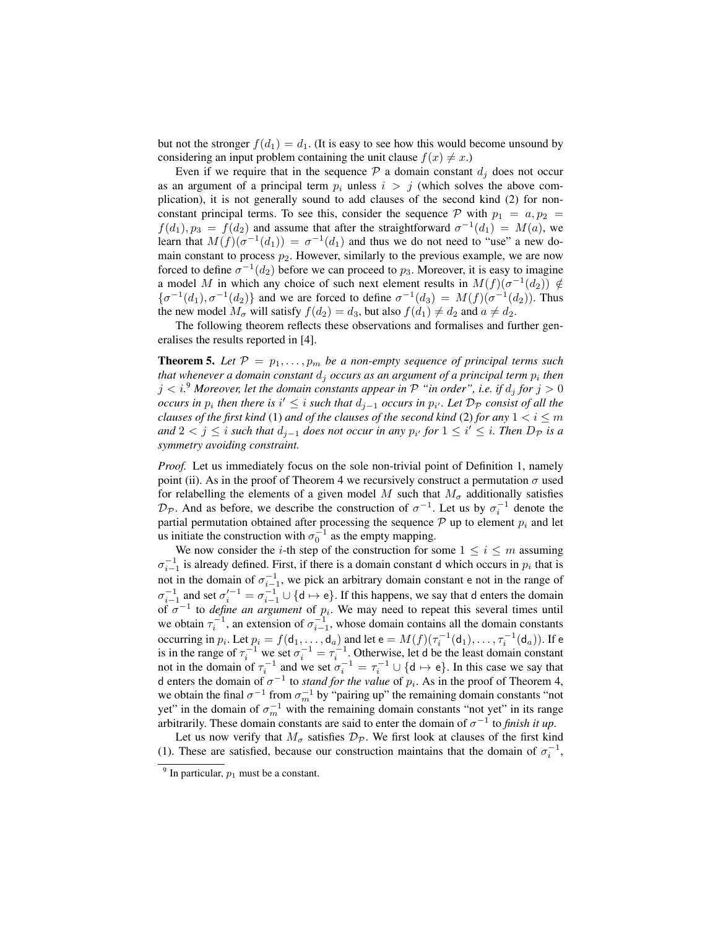but not the stronger  $f(d_1) = d_1$ . (It is easy to see how this would become unsound by considering an input problem containing the unit clause  $f(x) \neq x$ .)

Even if we require that in the sequence  $P$  a domain constant  $d_i$  does not occur as an argument of a principal term  $p_i$  unless  $i > j$  (which solves the above complication), it is not generally sound to add clauses of the second kind (2) for nonconstant principal terms. To see this, consider the sequence  $\mathcal P$  with  $p_1 = a, p_2 =$  $f(d_1)$ ,  $p_3 = f(d_2)$  and assume that after the straightforward  $\sigma^{-1}(d_1) = M(a)$ , we learn that  $M(f)(\sigma^{-1}(d_1)) = \sigma^{-1}(d_1)$  and thus we do not need to "use" a new domain constant to process  $p_2$ . However, similarly to the previous example, we are now forced to define  $\sigma^{-1}(d_2)$  before we can proceed to  $p_3$ . Moreover, it is easy to imagine a model M in which any choice of such next element results in  $M(f)(\sigma^{-1}(d_2)) \notin$  $\{\sigma^{-1}(d_1), \sigma^{-1}(d_2)\}\$  and we are forced to define  $\sigma^{-1}(d_3) = M(f)(\sigma^{-1}(d_2))$ . Thus the new model  $M_{\sigma}$  will satisfy  $f(d_2) = d_3$ , but also  $f(d_1) \neq d_2$  and  $a \neq d_2$ .

The following theorem reflects these observations and formalises and further generalises the results reported in [4].

**Theorem 5.** Let  $P = p_1, \ldots, p_m$  be a non-empty sequence of principal terms such that whenever a domain constant  $d_j$  occurs as an argument of a principal term  $p_i$  then  $j < i$ . $^{9}$  Moreover, let the domain constants appear in  $\mathcal P$  "in order", i.e. if  $d_j$  for  $j > 0$ *occurs in*  $p_i$  then there is  $i' \leq i$  such that  $d_{j-1}$  *occurs in*  $p_{i'}$ . Let  $\mathcal{D}_{\mathcal{P}}$  consist of all the *clauses of the first kind* (1) *and of the clauses of the second kind* (2) *for any*  $1 < i \leq m$ *and*  $2 < j \le i$  *such that*  $d_{j-1}$  *does not occur in any*  $p_{i'}$  *for*  $1 ≤ i' ≤ i$ *. Then*  $D_{\mathcal{P}}$  *is a symmetry avoiding constraint.*

*Proof.* Let us immediately focus on the sole non-trivial point of Definition 1, namely point (ii). As in the proof of Theorem 4 we recursively construct a permutation  $\sigma$  used for relabelling the elements of a given model M such that  $M_{\sigma}$  additionally satisfies  $\mathcal{D}_{\mathcal{P}}$ . And as before, we describe the construction of  $\sigma^{-1}$ . Let us by  $\sigma_i^{-1}$  denote the partial permutation obtained after processing the sequence  $P$  up to element  $p_i$  and let us initiate the construction with  $\sigma_0^{-1}$  as the empty mapping.

We now consider the *i*-th step of the construction for some  $1 \le i \le m$  assuming  $\sigma_{i-1}^{-1}$  is already defined. First, if there is a domain constant d which occurs in  $p_i$  that is not in the domain of  $\sigma_{i-1}^{-1}$ , we pick an arbitrary domain constant e not in the range of  $\sigma_{i-1}^{-1}$  and set  $\sigma_i'^{-1} = \sigma_{i-1}^{-1} \cup \{d \mapsto e\}$ . If this happens, we say that d enters the domain of  $\sigma^{-1}$  to *define an argument* of  $p_i$ . We may need to repeat this several times until we obtain  $\tau_i^{-1}$ , an extension of  $\sigma_{i-1}^{-1}$ , whose domain contains all the domain constants occurring in  $p_i$ . Let  $p_i = f(d_1, \ldots, d_a)$  and let  $e = M(f)(\tau_i^{-1}(d_1), \ldots, \tau_i^{-1}(d_a))$ . If e is in the range of  $\tau_i^{-1}$  we set  $\sigma_i^{-1} = \tau_i^{-1}$ . Otherwise, let d be the least domain constant not in the domain of  $\tau_i^{-1}$  and we set  $\sigma_i^{-1} = \tau_i^{-1} \cup \{d \mapsto e\}$ . In this case we say that d enters the domain of  $\sigma^{-1}$  to *stand for the value* of  $p_i$ . As in the proof of Theorem 4, we obtain the final  $\sigma^{-1}$  from  $\sigma_m^{-1}$  by "pairing up" the remaining domain constants "not yet" in the domain of  $\sigma_m^{-1}$  with the remaining domain constants "not yet" in its range arbitrarily. These domain constants are said to enter the domain of  $\sigma^{-1}$  to *finish it up*.

Let us now verify that  $M_{\sigma}$  satisfies  $\mathcal{D}_{\mathcal{P}}$ . We first look at clauses of the first kind (1). These are satisfied, because our construction maintains that the domain of  $\sigma_i^{-1}$ ,

<sup>&</sup>lt;sup>9</sup> In particular,  $p_1$  must be a constant.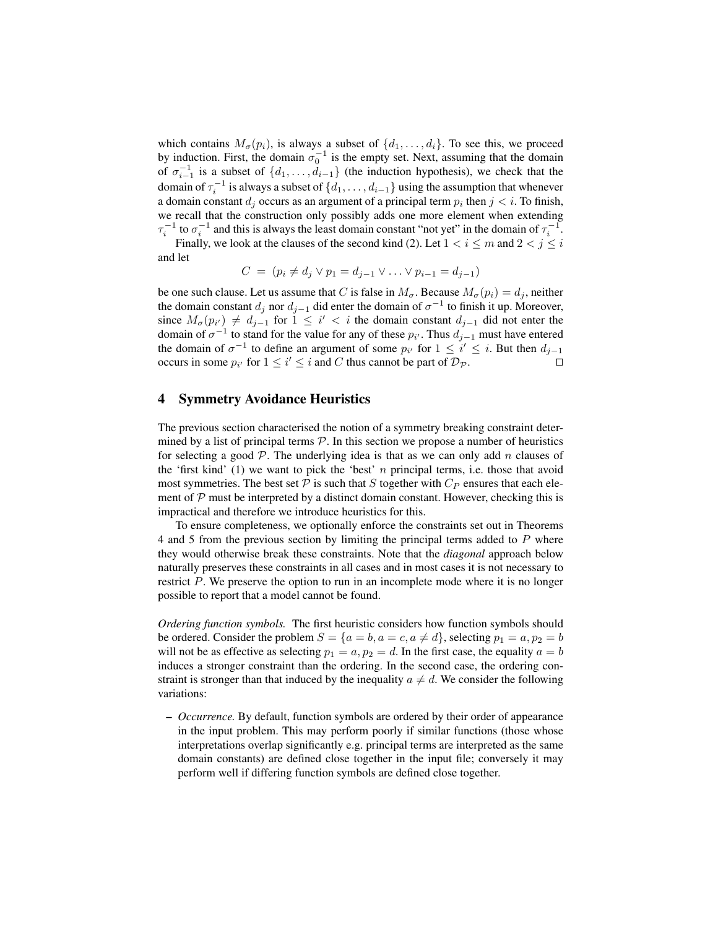which contains  $M_{\sigma}(p_i)$ , is always a subset of  $\{d_1, \ldots, d_i\}$ . To see this, we proceed by induction. First, the domain  $\sigma_0^{-1}$  is the empty set. Next, assuming that the domain of  $\sigma_{i-1}^{-1}$  is a subset of  $\{d_1, \ldots, d_{i-1}\}$  (the induction hypothesis), we check that the domain of  $\tau_i^{-1}$  is always a subset of  $\{d_1, \ldots, d_{i-1}\}$  using the assumption that whenever a domain constant  $d_j$  occurs as an argument of a principal term  $p_i$  then  $j < i$ . To finish, we recall that the construction only possibly adds one more element when extending  $\tau_i^{-1}$  to  $\sigma_i^{-1}$  and this is always the least domain constant "not yet" in the domain of  $\tau_i^{-1}$ .

Finally, we look at the clauses of the second kind (2). Let  $1 < i \leq m$  and  $2 < j \leq i$ and let

$$
C = (p_i \neq d_j \vee p_1 = d_{j-1} \vee \ldots \vee p_{i-1} = d_{j-1})
$$

be one such clause. Let us assume that C is false in  $M_{\sigma}$ . Because  $M_{\sigma}(p_i) = d_i$ , neither the domain constant  $d_j$  nor  $d_{j-1}$  did enter the domain of  $\sigma^{-1}$  to finish it up. Moreover, since  $M_{\sigma}(p_{i'}) \neq d_{j-1}$  for  $1 \leq i' < i$  the domain constant  $d_{j-1}$  did not enter the domain of  $\sigma^{-1}$  to stand for the value for any of these  $p_{i'}$ . Thus  $d_{j-1}$  must have entered the domain of  $\sigma^{-1}$  to define an argument of some  $p_{i'}$  for  $1 \leq i' \leq i$ . But then  $d_{j-1}$ occurs in some  $p_{i'}$  for  $1 \leq i' \leq i$  and C thus cannot be part of  $\mathcal{D}_{\mathcal{P}}$ .

## 4 Symmetry Avoidance Heuristics

The previous section characterised the notion of a symmetry breaking constraint determined by a list of principal terms  $P$ . In this section we propose a number of heuristics for selecting a good  $P$ . The underlying idea is that as we can only add  $n$  clauses of the 'first kind' (1) we want to pick the 'best' n principal terms, i.e. those that avoid most symmetries. The best set  $P$  is such that  $S$  together with  $C_P$  ensures that each element of  $P$  must be interpreted by a distinct domain constant. However, checking this is impractical and therefore we introduce heuristics for this.

To ensure completeness, we optionally enforce the constraints set out in Theorems 4 and 5 from the previous section by limiting the principal terms added to  $P$  where they would otherwise break these constraints. Note that the *diagonal* approach below naturally preserves these constraints in all cases and in most cases it is not necessary to restrict P. We preserve the option to run in an incomplete mode where it is no longer possible to report that a model cannot be found.

*Ordering function symbols.* The first heuristic considers how function symbols should be ordered. Consider the problem  $S = \{a = b, a = c, a \neq d\}$ , selecting  $p_1 = a, p_2 = b$ will not be as effective as selecting  $p_1 = a, p_2 = d$ . In the first case, the equality  $a = b$ induces a stronger constraint than the ordering. In the second case, the ordering constraint is stronger than that induced by the inequality  $a \neq d$ . We consider the following variations:

– *Occurrence.* By default, function symbols are ordered by their order of appearance in the input problem. This may perform poorly if similar functions (those whose interpretations overlap significantly e.g. principal terms are interpreted as the same domain constants) are defined close together in the input file; conversely it may perform well if differing function symbols are defined close together.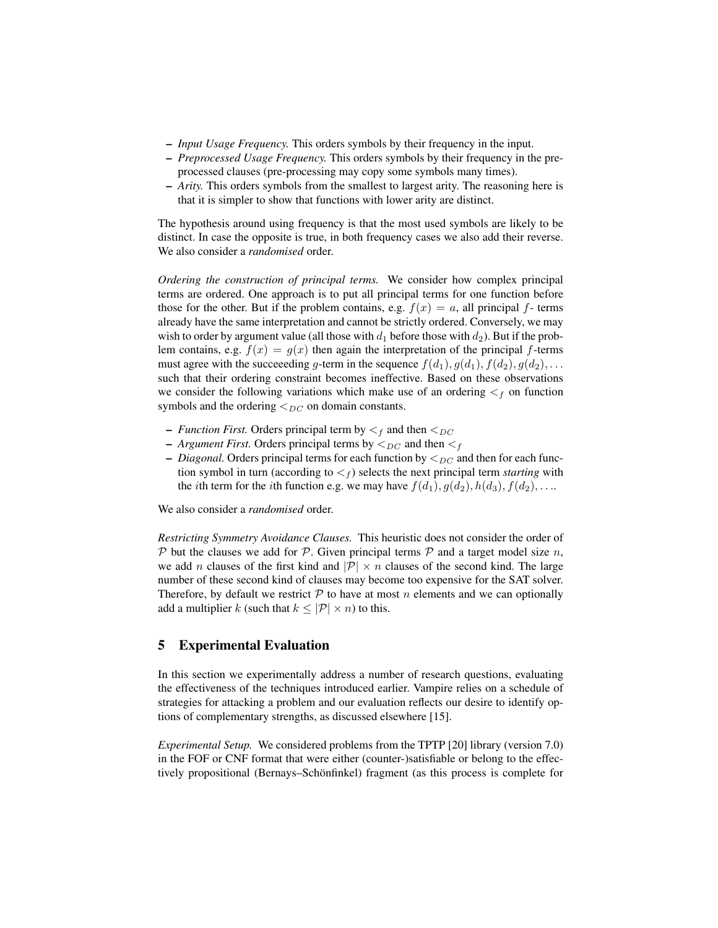- *Input Usage Frequency.* This orders symbols by their frequency in the input.
- *Preprocessed Usage Frequency.* This orders symbols by their frequency in the preprocessed clauses (pre-processing may copy some symbols many times).
- *Arity.* This orders symbols from the smallest to largest arity. The reasoning here is that it is simpler to show that functions with lower arity are distinct.

The hypothesis around using frequency is that the most used symbols are likely to be distinct. In case the opposite is true, in both frequency cases we also add their reverse. We also consider a *randomised* order.

*Ordering the construction of principal terms.* We consider how complex principal terms are ordered. One approach is to put all principal terms for one function before those for the other. But if the problem contains, e.g.  $f(x) = a$ , all principal f- terms already have the same interpretation and cannot be strictly ordered. Conversely, we may wish to order by argument value (all those with  $d_1$  before those with  $d_2$ ). But if the problem contains, e.g.  $f(x) = g(x)$  then again the interpretation of the principal f-terms must agree with the succeeeding g-term in the sequence  $f(d_1), g(d_1), f(d_2), g(d_2), \ldots$ such that their ordering constraint becomes ineffective. Based on these observations we consider the following variations which make use of an ordering  $\lt_f$  on function symbols and the ordering  $\leq_{DC}$  on domain constants.

- *Function First.* Orders principal term by  $\lt_f$  and then  $\lt_{DC}$
- *Argument First.* Orders principal terms by  $\lt_{DC}$  and then  $\lt_f$
- *Diagonal*. Orders principal terms for each function by  $\lt_{DC}$  and then for each function symbol in turn (according to  $\lt_f$ ) selects the next principal term *starting* with the *i*th term for the *i*th function e.g. we may have  $f(d_1), g(d_2), h(d_3), f(d_2), \ldots$

We also consider a *randomised* order.

*Restricting Symmetry Avoidance Clauses.* This heuristic does not consider the order of  $P$  but the clauses we add for P. Given principal terms P and a target model size n, we add *n* clauses of the first kind and  $|\mathcal{P}| \times n$  clauses of the second kind. The large number of these second kind of clauses may become too expensive for the SAT solver. Therefore, by default we restrict  $P$  to have at most n elements and we can optionally add a multiplier k (such that  $k \leq |\mathcal{P}| \times n$ ) to this.

### 5 Experimental Evaluation

In this section we experimentally address a number of research questions, evaluating the effectiveness of the techniques introduced earlier. Vampire relies on a schedule of strategies for attacking a problem and our evaluation reflects our desire to identify options of complementary strengths, as discussed elsewhere [15].

*Experimental Setup.* We considered problems from the TPTP [20] library (version 7.0) in the FOF or CNF format that were either (counter-)satisfiable or belong to the effectively propositional (Bernays–Schönfinkel) fragment (as this process is complete for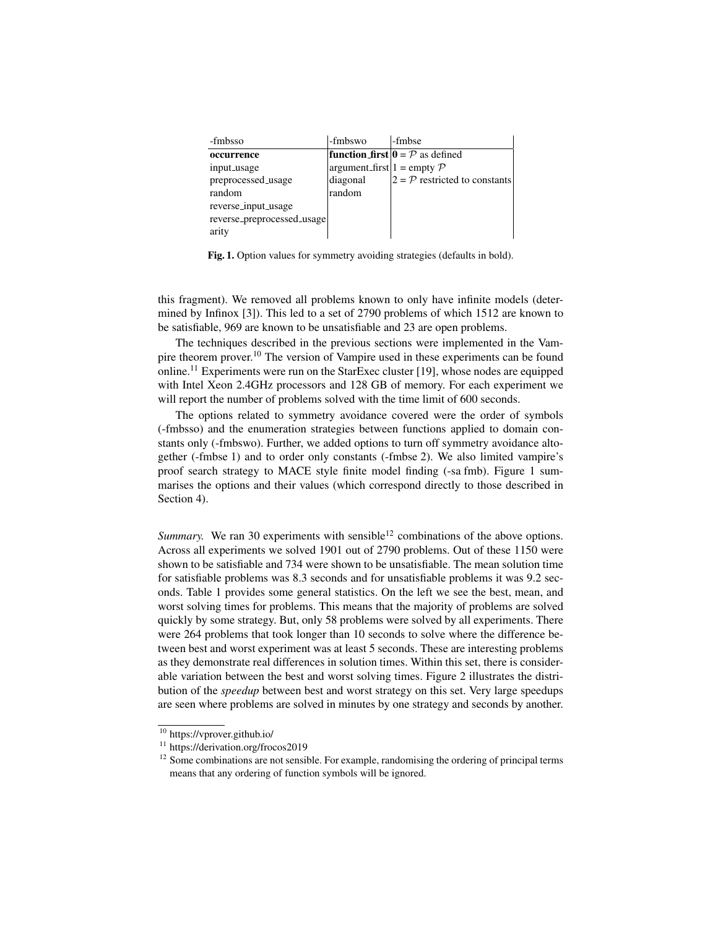| -fmbsso                    | -fmbswo                        | -fmbse                                                         |
|----------------------------|--------------------------------|----------------------------------------------------------------|
| occurrence                 |                                | <b>function_first</b> $\vert 0 = \mathcal{P} \vert$ as defined |
| input_usage                | argument_first $1 =$ empty $P$ |                                                                |
| preprocessed_usage         | diagonal                       | $ 2 = \mathcal{P}$ restricted to constants                     |
| random                     | random                         |                                                                |
| reverse_input_usage        |                                |                                                                |
| reverse_preprocessed_usage |                                |                                                                |
| arity                      |                                |                                                                |

Fig. 1. Option values for symmetry avoiding strategies (defaults in bold).

this fragment). We removed all problems known to only have infinite models (determined by Infinox [3]). This led to a set of 2790 problems of which 1512 are known to be satisfiable, 969 are known to be unsatisfiable and 23 are open problems.

The techniques described in the previous sections were implemented in the Vampire theorem prover.<sup>10</sup> The version of Vampire used in these experiments can be found online.<sup>11</sup> Experiments were run on the StarExec cluster [19], whose nodes are equipped with Intel Xeon 2.4GHz processors and 128 GB of memory. For each experiment we will report the number of problems solved with the time limit of 600 seconds.

The options related to symmetry avoidance covered were the order of symbols (-fmbsso) and the enumeration strategies between functions applied to domain constants only (-fmbswo). Further, we added options to turn off symmetry avoidance altogether (-fmbse 1) and to order only constants (-fmbse 2). We also limited vampire's proof search strategy to MACE style finite model finding (-sa fmb). Figure 1 summarises the options and their values (which correspond directly to those described in Section 4).

*Summary.* We ran 30 experiments with sensible<sup>12</sup> combinations of the above options. Across all experiments we solved 1901 out of 2790 problems. Out of these 1150 were shown to be satisfiable and 734 were shown to be unsatisfiable. The mean solution time for satisfiable problems was 8.3 seconds and for unsatisfiable problems it was 9.2 seconds. Table 1 provides some general statistics. On the left we see the best, mean, and worst solving times for problems. This means that the majority of problems are solved quickly by some strategy. But, only 58 problems were solved by all experiments. There were 264 problems that took longer than 10 seconds to solve where the difference between best and worst experiment was at least 5 seconds. These are interesting problems as they demonstrate real differences in solution times. Within this set, there is considerable variation between the best and worst solving times. Figure 2 illustrates the distribution of the *speedup* between best and worst strategy on this set. Very large speedups are seen where problems are solved in minutes by one strategy and seconds by another.

<sup>10</sup> https://vprover.github.io/

<sup>&</sup>lt;sup>11</sup> https://derivation.org/frocos2019

<sup>&</sup>lt;sup>12</sup> Some combinations are not sensible. For example, randomising the ordering of principal terms means that any ordering of function symbols will be ignored.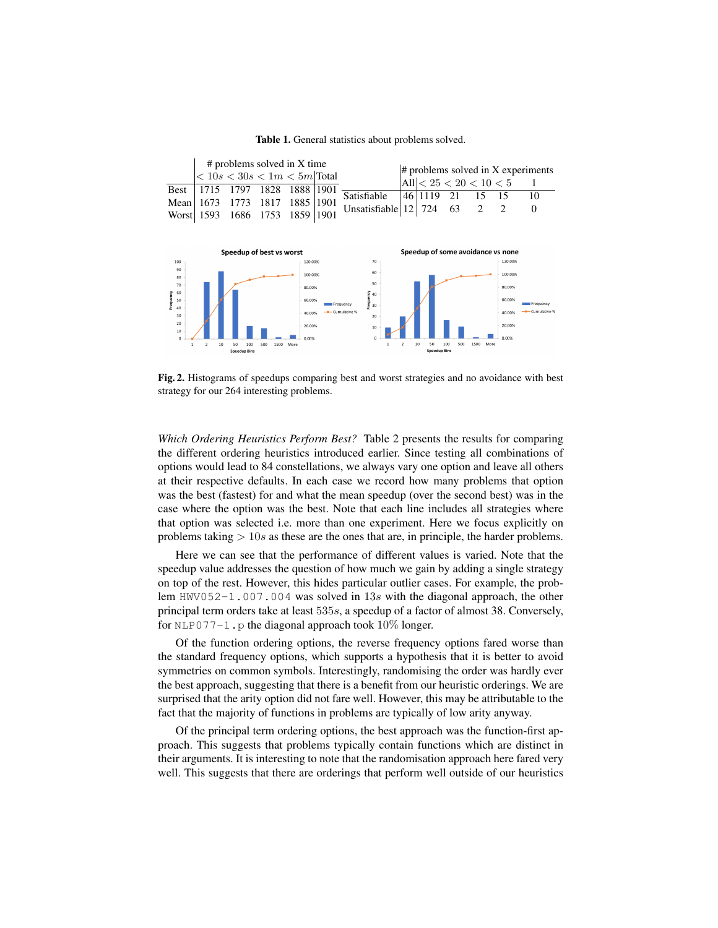Table 1. General statistics about problems solved.

|                                                      |                      | # problems solved in X time<br>$< 10s < 30s < 1m < 5m$ Total |                      |                                        |                      |                                                      |    |             |          |                                    |                                        | $\#$ problems solved in X experiments |
|------------------------------------------------------|----------------------|--------------------------------------------------------------|----------------------|----------------------------------------|----------------------|------------------------------------------------------|----|-------------|----------|------------------------------------|----------------------------------------|---------------------------------------|
| <b>Best</b><br>Mean<br>Worst                         | 1715<br>1673<br>1593 | 1797<br>1773<br>1686                                         | 1828<br>1817<br>1753 | 1888<br>1885<br>1859                   | 1901<br>1901<br>1901 | Satisfiable<br>Unsatisfiable 12                      | 46 | 1119<br>724 | 21<br>63 | All  < 25 < 20 < 10 < 5<br>15<br>2 | 15<br>$\mathfrak{D}$                   | 10<br>0                               |
|                                                      |                      | Speedup of best vs worst                                     |                      |                                        |                      |                                                      |    |             |          | Speedup of some avoidance vs none  |                                        |                                       |
| 100<br>90<br>80<br>70<br>60<br>Frequency<br>50<br>40 |                      |                                                              |                      | 120.00%<br>100.00%<br>80.00%<br>60.00% |                      | 70<br>60<br>50<br>Frequency<br>30<br>30<br>Frequency |    |             |          |                                    | 120,00%<br>100.00%<br>80.00%<br>60.00% | Frequency                             |

Fig. 2. Histograms of speedups comparing best and worst strategies and no avoidance with best strategy for our 264 interesting problems.

 $\begin{bmatrix} 10 \\ 10 \\ 0 \end{bmatrix}$ 

*Which Ordering Heuristics Perform Best?* Table 2 presents the results for comparing the different ordering heuristics introduced earlier. Since testing all combinations of options would lead to 84 constellations, we always vary one option and leave all others at their respective defaults. In each case we record how many problems that option was the best (fastest) for and what the mean speedup (over the second best) was in the case where the option was the best. Note that each line includes all strategies where that option was selected i.e. more than one experiment. Here we focus explicitly on problems taking  $> 10s$  as these are the ones that are, in principle, the harder problems.

Here we can see that the performance of different values is varied. Note that the speedup value addresses the question of how much we gain by adding a single strategy on top of the rest. However, this hides particular outlier cases. For example, the problem HWV052-1.007.004 was solved in 13s with the diagonal approach, the other principal term orders take at least 535s, a speedup of a factor of almost 38. Conversely, for NLP077-1. p the diagonal approach took  $10\%$  longer.

Of the function ordering options, the reverse frequency options fared worse than the standard frequency options, which supports a hypothesis that it is better to avoid symmetries on common symbols. Interestingly, randomising the order was hardly ever the best approach, suggesting that there is a benefit from our heuristic orderings. We are surprised that the arity option did not fare well. However, this may be attributable to the fact that the majority of functions in problems are typically of low arity anyway.

Of the principal term ordering options, the best approach was the function-first approach. This suggests that problems typically contain functions which are distinct in their arguments. It is interesting to note that the randomisation approach here fared very well. This suggests that there are orderings that perform well outside of our heuristics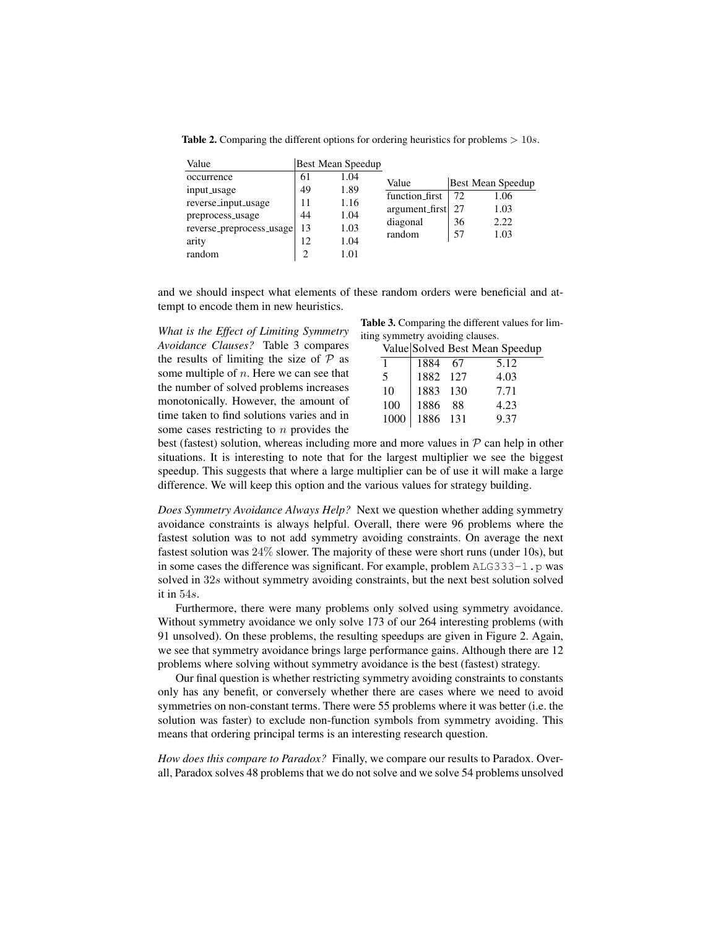**Table 2.** Comparing the different options for ordering heuristics for problems  $> 10s$ .

| Value                    |    | Best Mean Speedup |                |    |                   |
|--------------------------|----|-------------------|----------------|----|-------------------|
| occurrence               | 61 | 1.04              | Value          |    | Best Mean Speedup |
| input_usage              | 49 | 1.89              | function first | 72 |                   |
| reverse_input_usage      | 11 | 1.16              |                |    | 1.06              |
| preprocess_usage         | 44 | 1.04              | argument_first | 27 | 1.03              |
| reverse_preprocess_usage | 13 | 1.03              | diagonal       | 36 | 2.22              |
|                          | 12 | 1.04              | random         | 57 | 1.03              |
| arity                    |    |                   |                |    |                   |
| random                   |    | 1.01              |                |    |                   |

and we should inspect what elements of these random orders were beneficial and attempt to encode them in new heuristics.

*What is the Effect of Limiting Symmetry Avoidance Clauses?* Table 3 compares the results of limiting the size of  $P$  as some multiple of  $n$ . Here we can see that the number of solved problems increases monotonically. However, the amount of time taken to find solutions varies and in some cases restricting to  $n$  provides the

Table 3. Comparing the different values for limiting symmetry avoiding clauses.

|      |          |      | Value Solved Best Mean Speedup |
|------|----------|------|--------------------------------|
| 1    | 1884     | - 67 | 5.12                           |
| 5.   | 1882 127 |      | 4.03                           |
| 10   | 1883 130 |      | 7.71                           |
| 100  | 1886     | 88   | 4.23                           |
| 1000 | 1886 131 |      | 9.37                           |
|      |          |      |                                |

best (fastest) solution, whereas including more and more values in  $P$  can help in other situations. It is interesting to note that for the largest multiplier we see the biggest speedup. This suggests that where a large multiplier can be of use it will make a large difference. We will keep this option and the various values for strategy building.

*Does Symmetry Avoidance Always Help?* Next we question whether adding symmetry avoidance constraints is always helpful. Overall, there were 96 problems where the fastest solution was to not add symmetry avoiding constraints. On average the next fastest solution was 24% slower. The majority of these were short runs (under 10s), but in some cases the difference was significant. For example, problem  $ALG333-1$ . p was solved in 32s without symmetry avoiding constraints, but the next best solution solved it in 54s.

Furthermore, there were many problems only solved using symmetry avoidance. Without symmetry avoidance we only solve 173 of our 264 interesting problems (with 91 unsolved). On these problems, the resulting speedups are given in Figure 2. Again, we see that symmetry avoidance brings large performance gains. Although there are 12 problems where solving without symmetry avoidance is the best (fastest) strategy.

Our final question is whether restricting symmetry avoiding constraints to constants only has any benefit, or conversely whether there are cases where we need to avoid symmetries on non-constant terms. There were 55 problems where it was better (i.e. the solution was faster) to exclude non-function symbols from symmetry avoiding. This means that ordering principal terms is an interesting research question.

*How does this compare to Paradox?* Finally, we compare our results to Paradox. Overall, Paradox solves 48 problems that we do not solve and we solve 54 problems unsolved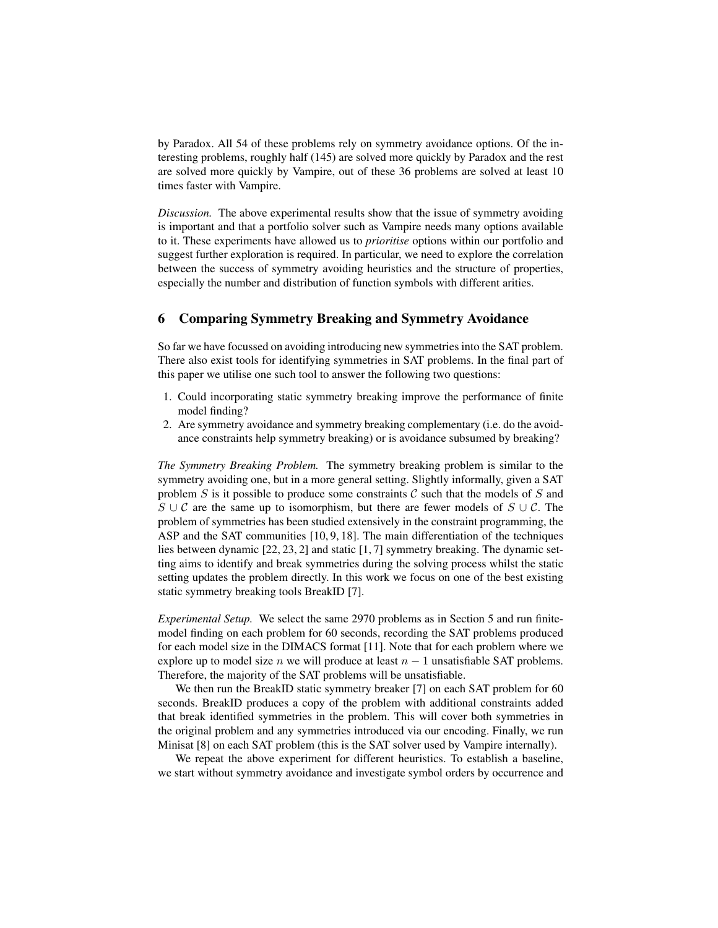by Paradox. All 54 of these problems rely on symmetry avoidance options. Of the interesting problems, roughly half (145) are solved more quickly by Paradox and the rest are solved more quickly by Vampire, out of these 36 problems are solved at least 10 times faster with Vampire.

*Discussion.* The above experimental results show that the issue of symmetry avoiding is important and that a portfolio solver such as Vampire needs many options available to it. These experiments have allowed us to *prioritise* options within our portfolio and suggest further exploration is required. In particular, we need to explore the correlation between the success of symmetry avoiding heuristics and the structure of properties, especially the number and distribution of function symbols with different arities.

## 6 Comparing Symmetry Breaking and Symmetry Avoidance

So far we have focussed on avoiding introducing new symmetries into the SAT problem. There also exist tools for identifying symmetries in SAT problems. In the final part of this paper we utilise one such tool to answer the following two questions:

- 1. Could incorporating static symmetry breaking improve the performance of finite model finding?
- 2. Are symmetry avoidance and symmetry breaking complementary (i.e. do the avoidance constraints help symmetry breaking) or is avoidance subsumed by breaking?

*The Symmetry Breaking Problem.* The symmetry breaking problem is similar to the symmetry avoiding one, but in a more general setting. Slightly informally, given a SAT problem S is it possible to produce some constraints C such that the models of S and S ∪ C are the same up to isomorphism, but there are fewer models of  $S \cup C$ . The problem of symmetries has been studied extensively in the constraint programming, the ASP and the SAT communities [10, 9, 18]. The main differentiation of the techniques lies between dynamic [22, 23, 2] and static [1, 7] symmetry breaking. The dynamic setting aims to identify and break symmetries during the solving process whilst the static setting updates the problem directly. In this work we focus on one of the best existing static symmetry breaking tools BreakID [7].

*Experimental Setup.* We select the same 2970 problems as in Section 5 and run finitemodel finding on each problem for 60 seconds, recording the SAT problems produced for each model size in the DIMACS format [11]. Note that for each problem where we explore up to model size n we will produce at least  $n - 1$  unsatisfiable SAT problems. Therefore, the majority of the SAT problems will be unsatisfiable.

We then run the BreakID static symmetry breaker [7] on each SAT problem for 60 seconds. BreakID produces a copy of the problem with additional constraints added that break identified symmetries in the problem. This will cover both symmetries in the original problem and any symmetries introduced via our encoding. Finally, we run Minisat [8] on each SAT problem (this is the SAT solver used by Vampire internally).

We repeat the above experiment for different heuristics. To establish a baseline, we start without symmetry avoidance and investigate symbol orders by occurrence and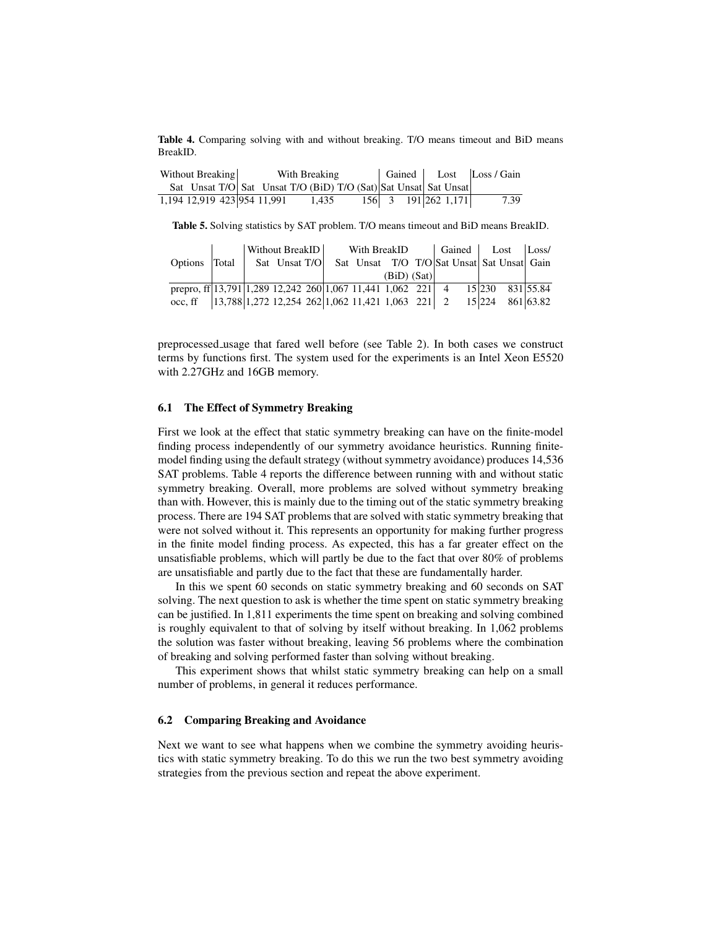Table 4. Comparing solving with and without breaking. T/O means timeout and BiD means BreakID.

| Without Breaking                                                |  | With Breaking |  |                     |  | Gained Lost Loss / Gain |
|-----------------------------------------------------------------|--|---------------|--|---------------------|--|-------------------------|
| Sat Unsat T/O Sat Unsat T/O (BiD) T/O (Sat) Sat Unsat Sat Unsat |  |               |  |                     |  |                         |
| 1,194 12,919 423 954 11,991                                     |  | 1.435         |  | 156 3 191 262 1,171 |  | 7.39                    |

Table 5. Solving statistics by SAT problem. T/O means timeout and BiD means BreakID.

|                                                                                          |  |               |  | Without BreakID   With BreakID   Gained   Lost   Loss |                 |  |  |  |
|------------------------------------------------------------------------------------------|--|---------------|--|-------------------------------------------------------|-----------------|--|--|--|
| Options Total                                                                            |  | Sat Unsat T/O |  | Sat Unsat T/O T/O Sat Unsat Sat Unsat Gain            |                 |  |  |  |
|                                                                                          |  |               |  |                                                       | $(BiD)$ $(Sat)$ |  |  |  |
| prepro, ff $ 13,791 1,289$ 12,242 260 $ 1,067$ 11,441 1,062 221 4 15 $ 230$ 831 $ 55.84$ |  |               |  |                                                       |                 |  |  |  |
| occ, ff   $ 13,788 1,272\;12,254\;262 1,062\;11,421\;1,063\;221 $ 2 $ 15 224\;861 63.82$ |  |               |  |                                                       |                 |  |  |  |

preprocessed usage that fared well before (see Table 2). In both cases we construct terms by functions first. The system used for the experiments is an Intel Xeon E5520 with 2.27GHz and 16GB memory.

#### 6.1 The Effect of Symmetry Breaking

First we look at the effect that static symmetry breaking can have on the finite-model finding process independently of our symmetry avoidance heuristics. Running finitemodel finding using the default strategy (without symmetry avoidance) produces 14,536 SAT problems. Table 4 reports the difference between running with and without static symmetry breaking. Overall, more problems are solved without symmetry breaking than with. However, this is mainly due to the timing out of the static symmetry breaking process. There are 194 SAT problems that are solved with static symmetry breaking that were not solved without it. This represents an opportunity for making further progress in the finite model finding process. As expected, this has a far greater effect on the unsatisfiable problems, which will partly be due to the fact that over 80% of problems are unsatisfiable and partly due to the fact that these are fundamentally harder.

In this we spent 60 seconds on static symmetry breaking and 60 seconds on SAT solving. The next question to ask is whether the time spent on static symmetry breaking can be justified. In 1,811 experiments the time spent on breaking and solving combined is roughly equivalent to that of solving by itself without breaking. In 1,062 problems the solution was faster without breaking, leaving 56 problems where the combination of breaking and solving performed faster than solving without breaking.

This experiment shows that whilst static symmetry breaking can help on a small number of problems, in general it reduces performance.

#### 6.2 Comparing Breaking and Avoidance

Next we want to see what happens when we combine the symmetry avoiding heuristics with static symmetry breaking. To do this we run the two best symmetry avoiding strategies from the previous section and repeat the above experiment.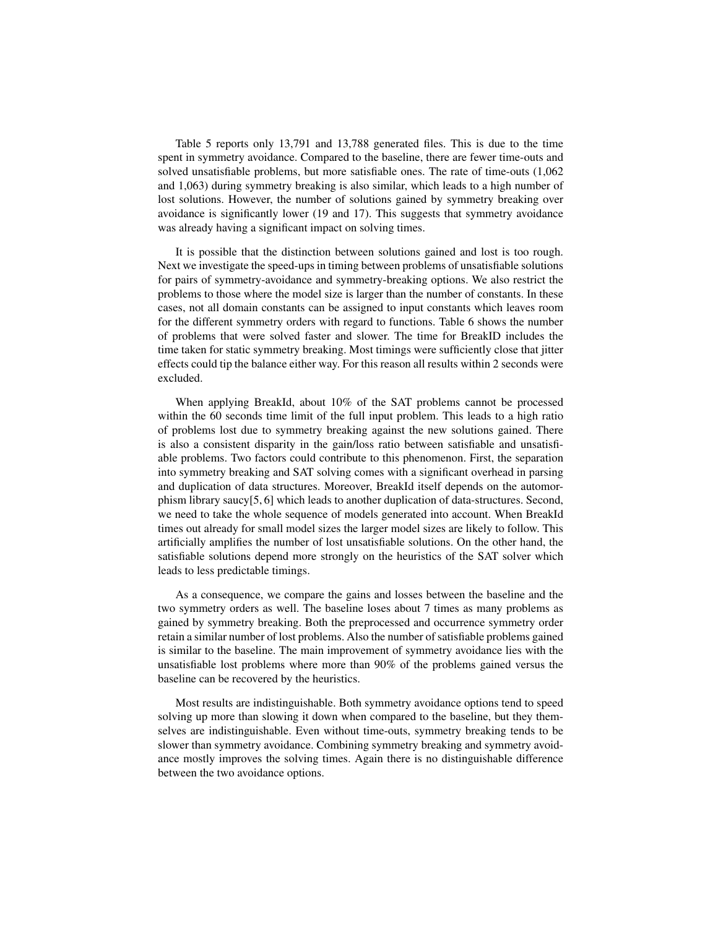Table 5 reports only 13,791 and 13,788 generated files. This is due to the time spent in symmetry avoidance. Compared to the baseline, there are fewer time-outs and solved unsatisfiable problems, but more satisfiable ones. The rate of time-outs (1,062 and 1,063) during symmetry breaking is also similar, which leads to a high number of lost solutions. However, the number of solutions gained by symmetry breaking over avoidance is significantly lower (19 and 17). This suggests that symmetry avoidance was already having a significant impact on solving times.

It is possible that the distinction between solutions gained and lost is too rough. Next we investigate the speed-ups in timing between problems of unsatisfiable solutions for pairs of symmetry-avoidance and symmetry-breaking options. We also restrict the problems to those where the model size is larger than the number of constants. In these cases, not all domain constants can be assigned to input constants which leaves room for the different symmetry orders with regard to functions. Table 6 shows the number of problems that were solved faster and slower. The time for BreakID includes the time taken for static symmetry breaking. Most timings were sufficiently close that jitter effects could tip the balance either way. For this reason all results within 2 seconds were excluded.

When applying BreakId, about 10% of the SAT problems cannot be processed within the 60 seconds time limit of the full input problem. This leads to a high ratio of problems lost due to symmetry breaking against the new solutions gained. There is also a consistent disparity in the gain/loss ratio between satisfiable and unsatisfiable problems. Two factors could contribute to this phenomenon. First, the separation into symmetry breaking and SAT solving comes with a significant overhead in parsing and duplication of data structures. Moreover, BreakId itself depends on the automorphism library saucy[5, 6] which leads to another duplication of data-structures. Second, we need to take the whole sequence of models generated into account. When BreakId times out already for small model sizes the larger model sizes are likely to follow. This artificially amplifies the number of lost unsatisfiable solutions. On the other hand, the satisfiable solutions depend more strongly on the heuristics of the SAT solver which leads to less predictable timings.

As a consequence, we compare the gains and losses between the baseline and the two symmetry orders as well. The baseline loses about 7 times as many problems as gained by symmetry breaking. Both the preprocessed and occurrence symmetry order retain a similar number of lost problems. Also the number of satisfiable problems gained is similar to the baseline. The main improvement of symmetry avoidance lies with the unsatisfiable lost problems where more than 90% of the problems gained versus the baseline can be recovered by the heuristics.

Most results are indistinguishable. Both symmetry avoidance options tend to speed solving up more than slowing it down when compared to the baseline, but they themselves are indistinguishable. Even without time-outs, symmetry breaking tends to be slower than symmetry avoidance. Combining symmetry breaking and symmetry avoidance mostly improves the solving times. Again there is no distinguishable difference between the two avoidance options.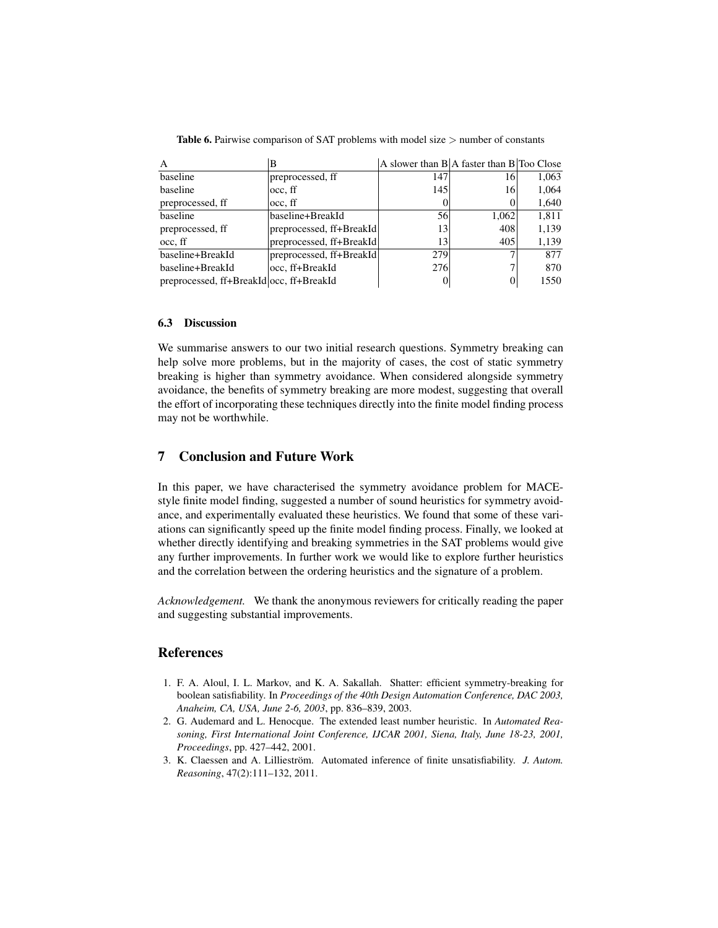|                                          | B                        | A slower than $B A$ faster than $B Too$ Close |       |       |
|------------------------------------------|--------------------------|-----------------------------------------------|-------|-------|
| baseline                                 | preprocessed, ff         | 147                                           | 16    | 1,063 |
| baseline                                 | occ, ff                  | 145                                           | 16    | 1,064 |
| preprocessed, ff                         | occ, ff                  |                                               |       | 1,640 |
| baseline                                 | baseline+BreakId         | 56                                            | 1,062 | 1,811 |
| preprocessed, ff                         | preprocessed, ff+BreakId | 13                                            | 408   | 1,139 |
| occ, ff                                  | preprocessed, ff+BreakId | 13                                            | 405   | 1,139 |
| baseline+BreakId                         | preprocessed, ff+BreakId | 279                                           |       | 877   |
| baseline+BreakId                         | occ, ff+BreakId          | 276                                           |       | 870   |
| preprocessed, ff+BreakId occ, ff+BreakId |                          |                                               |       | 1550  |

Table 6. Pairwise comparison of SAT problems with model size > number of constants

#### 6.3 Discussion

We summarise answers to our two initial research questions. Symmetry breaking can help solve more problems, but in the majority of cases, the cost of static symmetry breaking is higher than symmetry avoidance. When considered alongside symmetry avoidance, the benefits of symmetry breaking are more modest, suggesting that overall the effort of incorporating these techniques directly into the finite model finding process may not be worthwhile.

# 7 Conclusion and Future Work

In this paper, we have characterised the symmetry avoidance problem for MACEstyle finite model finding, suggested a number of sound heuristics for symmetry avoidance, and experimentally evaluated these heuristics. We found that some of these variations can significantly speed up the finite model finding process. Finally, we looked at whether directly identifying and breaking symmetries in the SAT problems would give any further improvements. In further work we would like to explore further heuristics and the correlation between the ordering heuristics and the signature of a problem.

*Acknowledgement.* We thank the anonymous reviewers for critically reading the paper and suggesting substantial improvements.

## References

- 1. F. A. Aloul, I. L. Markov, and K. A. Sakallah. Shatter: efficient symmetry-breaking for boolean satisfiability. In *Proceedings of the 40th Design Automation Conference, DAC 2003, Anaheim, CA, USA, June 2-6, 2003*, pp. 836–839, 2003.
- 2. G. Audemard and L. Henocque. The extended least number heuristic. In *Automated Reasoning, First International Joint Conference, IJCAR 2001, Siena, Italy, June 18-23, 2001, Proceedings*, pp. 427–442, 2001.
- 3. K. Claessen and A. Lillieström. Automated inference of finite unsatisfiability. *J. Autom. Reasoning*, 47(2):111–132, 2011.